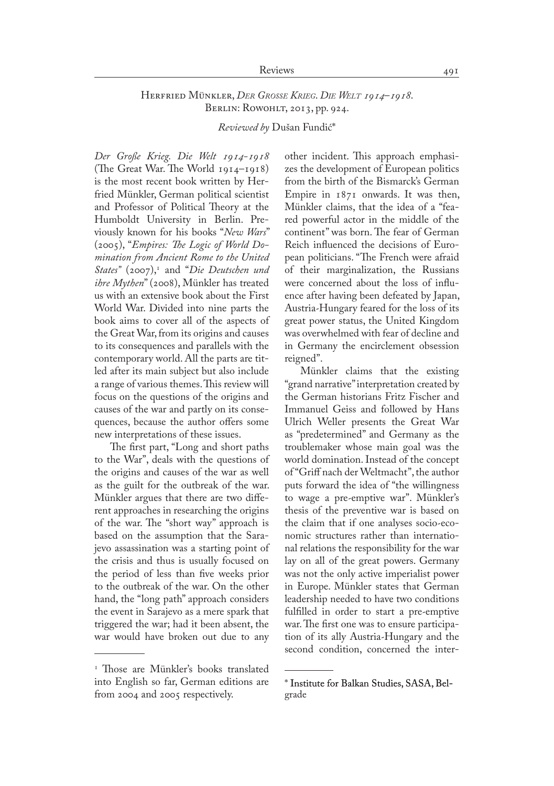## Reviews 491

## Herfried Münkler, *Der Grosse Krieg*. *Die Welt 1914*–*1918*. Berlin: Rowohlt, 2013, pp. 924.

*Reviewed by* Dušan Fundić\*

*Der Große Krieg. Die Welt 1914-1918* (The Great War. The World 1914–1918) is the most recent book written by Herfried Münkler, German political scientist and Professor of Political Theory at the Humboldt University in Berlin. Previously known for his books "*New Wars*" (2005), "*Empires: The Logic of World Domination from Ancient Rome to the United States*" (2007),<sup>1</sup> and "*Die Deutschen und ihre Mythen*" (2008), Münkler has treated us with an extensive book about the First World War. Divided into nine parts the book aims to cover all of the aspects of the Great War, from its origins and causes to its consequences and parallels with the contemporary world. All the parts are titled after its main subject but also include a range of various themes. This review will focus on the questions of the origins and causes of the war and partly on its conse� quences, because the author offers some new interpretations of these issues.

The first part, "Long and short paths to the War", deals with the questions of the origins and causes of the war as well as the guilt for the outbreak of the war. Münkler argues that there are two different approaches in researching the origins of the war. The "short way" approach is based on the assumption that the Sarajevo assassination was a starting point of the crisis and thus is usually focused on the period of less than five weeks prior to the outbreak of the war. On the other hand, the "long path" approach considers the event in Sarajevo as a mere spark that triggered the war; had it been absent, the war would have broken out due to any

other incident. This approach emphasizes the development of European politics from the birth of the Bismarck's German Empire in 1871 onwards. It was then, Münkler claims, that the idea of a "feared powerful actor in the middle of the continent" was born. The fear of German Reich influenced the decisions of European politicians. "The French were afraid of their marginalization, the Russians were concerned about the loss of influence after having been defeated by Japan, Austria-Hungary feared for the loss of its great power status, the United Kingdom was overwhelmed with fear of decline and in Germany the encirclement obsession reigned".

Münkler claims that the existing "grand narrative" interpretation created by the German historians Fritz Fischer and Immanuel Geiss and followed by Hans Ulrich Weller presents the Great War as "predetermined" and Germany as the troublemaker whose main goal was the world domination. Instead of the concept of "Griff nach der Weltmacht", the author puts forward the idea of "the willingness to wage a pre-emptive war". Münkler's thesis of the preventive war is based on the claim that if one analyses socio-economic structures rather than international relations the responsibility for the war lay on all of the great powers. Germany was not the only active imperialist power in Europe. Münkler states that German leadership needed to have two conditions fulfilled in order to start a pre-emptive war. The first one was to ensure participation of its ally Austria-Hungary and the second condition, concerned the inter-

<sup>1</sup> Those are Münkler's books translated into English so far, German editions are from 2004 and 2005 respectively.

<sup>\*</sup> Institute for Balkan Studies, SASA, Belgrade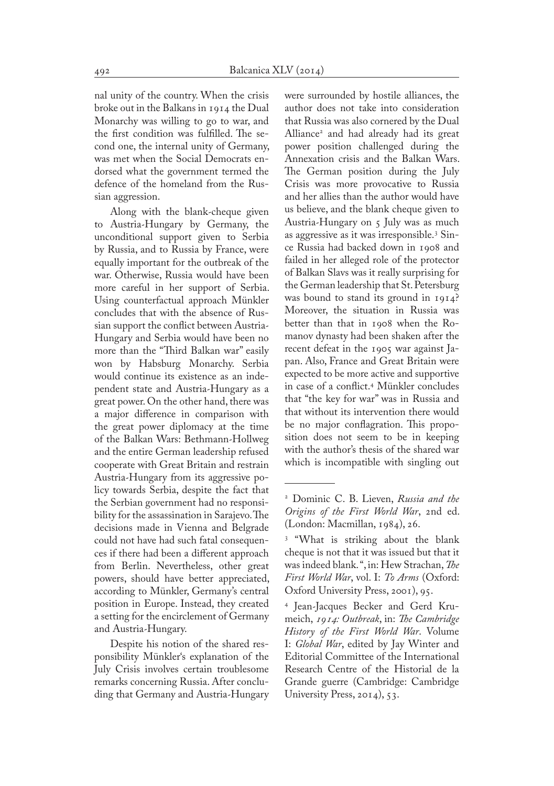nal unity of the country. When the crisis broke out in the Balkans in 1914 the Dual Monarchy was willing to go to war, and the first condition was fulfilled. The second one, the internal unity of Germany, was met when the Social Democrats endorsed what the government termed the defence of the homeland from the Russian aggression.

Along with the blank-cheque given to Austria-Hungary by Germany, the unconditional support given to Serbia by Russia, and to Russia by France, were equally important for the outbreak of the war. Otherwise, Russia would have been more careful in her support of Serbia. Using counterfactual approach Münkler concludes that with the absence of Russian support the conflict between Austria-Hungary and Serbia would have been no more than the "Third Balkan war" easily won by Habsburg Monarchy. Serbia would continue its existence as an independent state and Austria-Hungary as a great power. On the other hand, there was a major difference in comparison with the great power diplomacy at the time of the Balkan Wars: Bethmann-Hollweg and the entire German leadership refused cooperate with Great Britain and restrain Austria-Hungary from its aggressive policy towards Serbia, despite the fact that the Serbian government had no responsibility for the assassination in Sarajevo. The decisions made in Vienna and Belgrade could not have had such fatal consequen� ces if there had been a different approach from Berlin. Nevertheless, other great powers, should have better appreciated, according to Münkler, Germany's central position in Europe. Instead, they created a setting for the encirclement of Germany and Austria-Hungary.

Despite his notion of the shared responsibility Münkler's explanation of the July Crisis involves certain troublesome remarks concerning Russia. After conclu� ding that Germany and Austria-Hungary were surrounded by hostile alliances, the author does not take into consideration that Russia was also cornered by the Dual Alliance2 and had already had its great power position challenged during the Annexation crisis and the Balkan Wars. The German position during the July Crisis was more provocative to Russia and her allies than the author would have us believe, and the blank cheque given to Austria-Hungary on 5 July was as much as aggressive as it was irresponsible.3 Sin� ce Russia had backed down in 1908 and failed in her alleged role of the protector of Balkan Slavs was it really surprising for the German leadership that St. Petersburg was bound to stand its ground in 1914? Moreover, the situation in Russia was better than that in 1908 when the Romanov dynasty had been shaken after the recent defeat in the 1905 war against Ja� pan. Also, France and Great Britain were expected to be more active and supportive in case of a conflict.4 Münkler concludes that "the key for war" was in Russia and that without its intervention there would be no major conflagration. This proposition does not seem to be in keeping with the author's thesis of the shared war which is incompatible with singling out

<sup>2</sup> Dominic C. B. Lieven, *Russia and the Origins of the First World War*, 2nd ed. (London: Macmillan, 1984), 26.

<sup>3</sup> "What is striking about the blank cheque is not that it was issued but that it was indeed blank. ", in: Hew Strachan, *The First World War*, vol. I: *To Arms* (Oxford: Oxford University Press, 2001), 95.

<sup>&</sup>lt;sup>4</sup> Jean-Jacques Becker and Gerd Krumeich, *1914: Outbreak*, in: *The Cambridge History of the First World War*. Volume I: *Global War*, edited by Jay Winter and Editorial Committee of the International Research Centre of the Historial de la Grande guerre (Cambridge: Cambridge University Press, 2014), 53.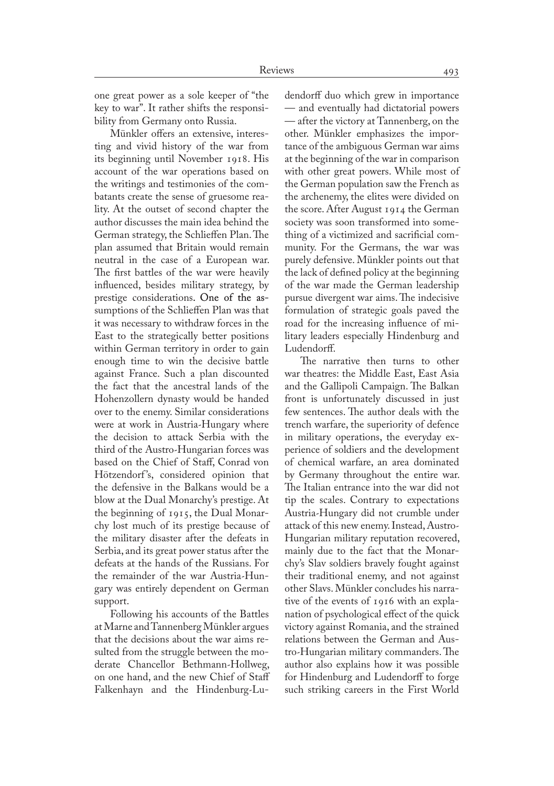one great power as a sole keeper of "the key to war". It rather shifts the responsi� bility from Germany onto Russia.

Münkler offers an extensive, interesting and vivid history of the war from its beginning until November 1918. His account of the war operations based on the writings and testimonies of the com� batants create the sense of gruesome reality. At the outset of second chapter the author discusses the main idea behind the German strategy, the Schlieffen Plan. The plan assumed that Britain would remain neutral in the case of a European war. The first battles of the war were heavily influenced, besides military strategy, by prestige considerations. One of the assumptions of the Schlieffen Plan was that it was necessary to withdraw forces in the East to the strategically better positions within German territory in order to gain enough time to win the decisive battle against France. Such a plan discounted the fact that the ancestral lands of the Hohenzollern dynasty would be handed over to the enemy. Similar considerations were at work in Austria-Hungary where the decision to attack Serbia with the third of the Austro-Hungarian forces was based on the Chief of Staff, Conrad von Hötzendorf's, considered opinion that the defensive in the Balkans would be a blow at the Dual Monarchy's prestige. At the beginning of 1915, the Dual Monar� chy lost much of its prestige because of the military disaster after the defeats in Serbia, and its great power status after the defeats at the hands of the Russians. For the remainder of the war Austria-Hun� gary was entirely dependent on German support.

Following his accounts of the Battles at Marne and Tannenberg Münkler argues that the decisions about the war aims resulted from the struggle between the moderate Chancellor Bethmann-Hollweg, on one hand, and the new Chief of Staff Falkenhayn and the Hindenburg-Ludendorff duo which grew in importance — and eventually had dictatorial powers — after the victory at Tannenberg, on the other. Münkler emphasizes the importance of the ambiguous German war aims at the beginning of the war in comparison with other great powers. While most of the German population saw the French as the archenemy, the elites were divided on the score. After August 1914 the German society was soon transformed into something of a victimized and sacrificial com� munity. For the Germans, the war was purely defensive. Münkler points out that the lack of defined policy at the beginning of the war made the German leadership pursue divergent war aims. The indecisive formulation of strategic goals paved the road for the increasing influence of military leaders especially Hindenburg and Ludendorff.

The narrative then turns to other war theatres: the Middle East, East Asia and the Gallipoli Campaign. The Balkan front is unfortunately discussed in just few sentences. The author deals with the trench warfare, the superiority of defence in military operations, the everyday experience of soldiers and the development of chemical warfare, an area dominated by Germany throughout the entire war. The Italian entrance into the war did not tip the scales. Contrary to expectations Austria-Hungary did not crumble under attack of this new enemy. Instead, Austro-Hungarian military reputation recovered, mainly due to the fact that the Monarchy's Slav soldiers bravely fought against their traditional enemy, and not against other Slavs. Münkler concludes his narrative of the events of 1916 with an expla� nation of psychological effect of the quick victory against Romania, and the strained relations between the German and Austro-Hungarian military commanders. The author also explains how it was possible for Hindenburg and Ludendorff to forge such striking careers in the First World